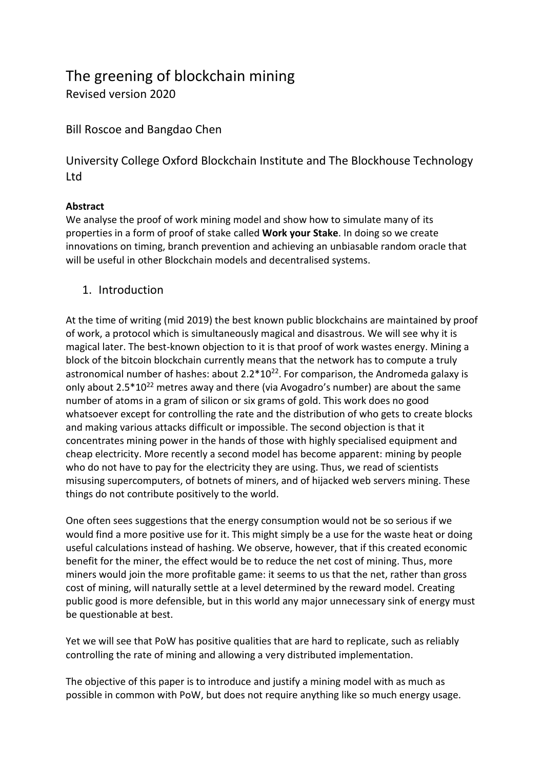# The greening of blockchain mining

Revised version 2020

Bill Roscoe and Bangdao Chen

University College Oxford Blockchain Institute and The Blockhouse Technology Ltd

## **Abstract**

We analyse the proof of work mining model and show how to simulate many of its properties in a form of proof of stake called **Work your Stake**. In doing so we create innovations on timing, branch prevention and achieving an unbiasable random oracle that will be useful in other Blockchain models and decentralised systems.

1. Introduction

At the time of writing (mid 2019) the best known public blockchains are maintained by proof of work, a protocol which is simultaneously magical and disastrous. We will see why it is magical later. The best-known objection to it is that proof of work wastes energy. Mining a block of the bitcoin blockchain currently means that the network has to compute a truly astronomical number of hashes: about  $2.2*10^{22}$ . For comparison, the Andromeda galaxy is only about  $2.5*10^{22}$  metres away and there (via Avogadro's number) are about the same number of atoms in a gram of silicon or six grams of gold. This work does no good whatsoever except for controlling the rate and the distribution of who gets to create blocks and making various attacks difficult or impossible. The second objection is that it concentrates mining power in the hands of those with highly specialised equipment and cheap electricity. More recently a second model has become apparent: mining by people who do not have to pay for the electricity they are using. Thus, we read of scientists misusing supercomputers, of botnets of miners, and of hijacked web servers mining. These things do not contribute positively to the world.

One often sees suggestions that the energy consumption would not be so serious if we would find a more positive use for it. This might simply be a use for the waste heat or doing useful calculations instead of hashing. We observe, however, that if this created economic benefit for the miner, the effect would be to reduce the net cost of mining. Thus, more miners would join the more profitable game: it seems to us that the net, rather than gross cost of mining, will naturally settle at a level determined by the reward model. Creating public good is more defensible, but in this world any major unnecessary sink of energy must be questionable at best.

Yet we will see that PoW has positive qualities that are hard to replicate, such as reliably controlling the rate of mining and allowing a very distributed implementation.

The objective of this paper is to introduce and justify a mining model with as much as possible in common with PoW, but does not require anything like so much energy usage.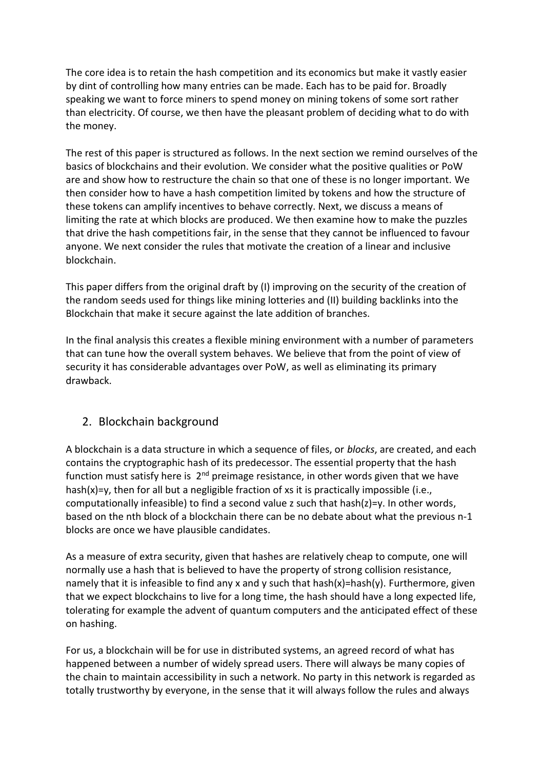The core idea is to retain the hash competition and its economics but make it vastly easier by dint of controlling how many entries can be made. Each has to be paid for. Broadly speaking we want to force miners to spend money on mining tokens of some sort rather than electricity. Of course, we then have the pleasant problem of deciding what to do with the money.

The rest of this paper is structured as follows. In the next section we remind ourselves of the basics of blockchains and their evolution. We consider what the positive qualities or PoW are and show how to restructure the chain so that one of these is no longer important. We then consider how to have a hash competition limited by tokens and how the structure of these tokens can amplify incentives to behave correctly. Next, we discuss a means of limiting the rate at which blocks are produced. We then examine how to make the puzzles that drive the hash competitions fair, in the sense that they cannot be influenced to favour anyone. We next consider the rules that motivate the creation of a linear and inclusive blockchain.

This paper differs from the original draft by (I) improving on the security of the creation of the random seeds used for things like mining lotteries and (II) building backlinks into the Blockchain that make it secure against the late addition of branches.

In the final analysis this creates a flexible mining environment with a number of parameters that can tune how the overall system behaves. We believe that from the point of view of security it has considerable advantages over PoW, as well as eliminating its primary drawback.

## 2. Blockchain background

A blockchain is a data structure in which a sequence of files, or *blocks*, are created, and each contains the cryptographic hash of its predecessor. The essential property that the hash function must satisfy here is 2<sup>nd</sup> preimage resistance, in other words given that we have hash(x)=y, then for all but a negligible fraction of xs it is practically impossible (i.e., computationally infeasible) to find a second value z such that hash(z)=y. In other words, based on the nth block of a blockchain there can be no debate about what the previous n-1 blocks are once we have plausible candidates.

As a measure of extra security, given that hashes are relatively cheap to compute, one will normally use a hash that is believed to have the property of strong collision resistance, namely that it is infeasible to find any x and y such that hash(x)=hash(y). Furthermore, given that we expect blockchains to live for a long time, the hash should have a long expected life, tolerating for example the advent of quantum computers and the anticipated effect of these on hashing.

For us, a blockchain will be for use in distributed systems, an agreed record of what has happened between a number of widely spread users. There will always be many copies of the chain to maintain accessibility in such a network. No party in this network is regarded as totally trustworthy by everyone, in the sense that it will always follow the rules and always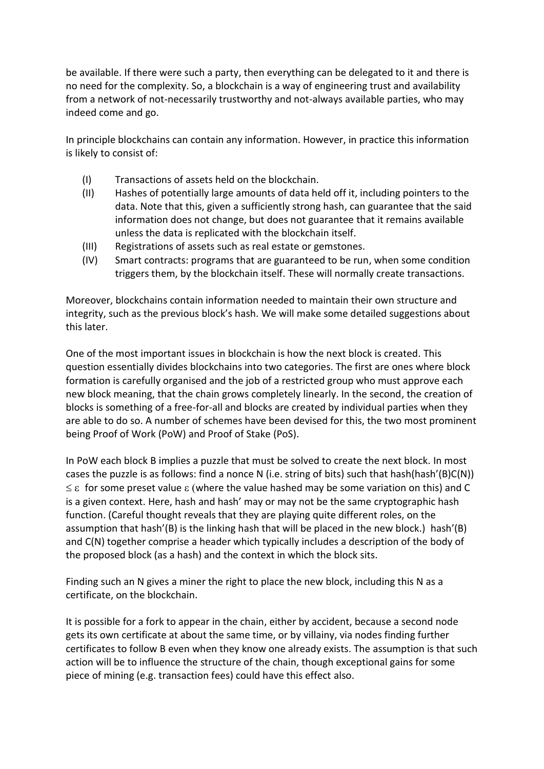be available. If there were such a party, then everything can be delegated to it and there is no need for the complexity. So, a blockchain is a way of engineering trust and availability from a network of not-necessarily trustworthy and not-always available parties, who may indeed come and go.

In principle blockchains can contain any information. However, in practice this information is likely to consist of:

- (I) Transactions of assets held on the blockchain.
- (II) Hashes of potentially large amounts of data held off it, including pointers to the data. Note that this, given a sufficiently strong hash, can guarantee that the said information does not change, but does not guarantee that it remains available unless the data is replicated with the blockchain itself.
- (III) Registrations of assets such as real estate or gemstones.
- (IV) Smart contracts: programs that are guaranteed to be run, when some condition triggers them, by the blockchain itself. These will normally create transactions.

Moreover, blockchains contain information needed to maintain their own structure and integrity, such as the previous block's hash. We will make some detailed suggestions about this later.

One of the most important issues in blockchain is how the next block is created. This question essentially divides blockchains into two categories. The first are ones where block formation is carefully organised and the job of a restricted group who must approve each new block meaning, that the chain grows completely linearly. In the second, the creation of blocks is something of a free-for-all and blocks are created by individual parties when they are able to do so. A number of schemes have been devised for this, the two most prominent being Proof of Work (PoW) and Proof of Stake (PoS).

In PoW each block B implies a puzzle that must be solved to create the next block. In most cases the puzzle is as follows: find a nonce N (i.e. string of bits) such that hash(hash'(B)C(N))  $\leq$   $\varepsilon$  for some preset value  $\varepsilon$  (where the value hashed may be some variation on this) and C is a given context. Here, hash and hash' may or may not be the same cryptographic hash function. (Careful thought reveals that they are playing quite different roles, on the assumption that hash'(B) is the linking hash that will be placed in the new block.) hash'(B) and C(N) together comprise a header which typically includes a description of the body of the proposed block (as a hash) and the context in which the block sits.

Finding such an N gives a miner the right to place the new block, including this N as a certificate, on the blockchain.

It is possible for a fork to appear in the chain, either by accident, because a second node gets its own certificate at about the same time, or by villainy, via nodes finding further certificates to follow B even when they know one already exists. The assumption is that such action will be to influence the structure of the chain, though exceptional gains for some piece of mining (e.g. transaction fees) could have this effect also.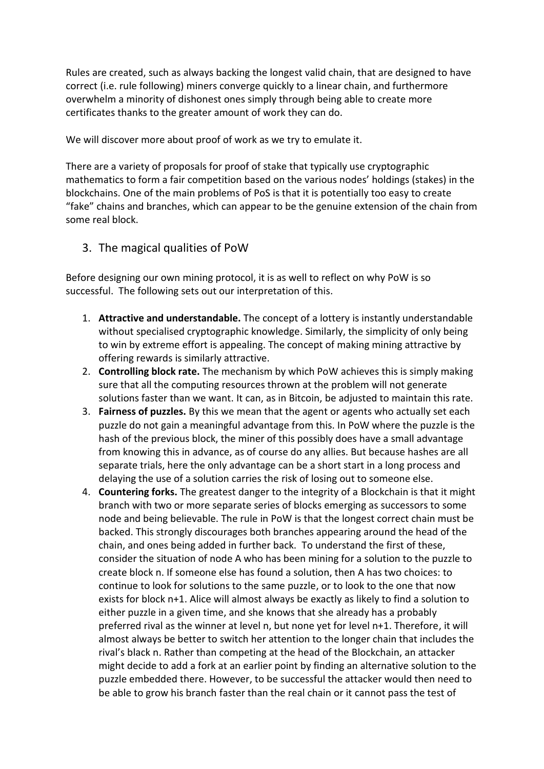Rules are created, such as always backing the longest valid chain, that are designed to have correct (i.e. rule following) miners converge quickly to a linear chain, and furthermore overwhelm a minority of dishonest ones simply through being able to create more certificates thanks to the greater amount of work they can do.

We will discover more about proof of work as we try to emulate it.

There are a variety of proposals for proof of stake that typically use cryptographic mathematics to form a fair competition based on the various nodes' holdings (stakes) in the blockchains. One of the main problems of PoS is that it is potentially too easy to create "fake" chains and branches, which can appear to be the genuine extension of the chain from some real block.

#### 3. The magical qualities of PoW

Before designing our own mining protocol, it is as well to reflect on why PoW is so successful. The following sets out our interpretation of this.

- 1. **Attractive and understandable.** The concept of a lottery is instantly understandable without specialised cryptographic knowledge. Similarly, the simplicity of only being to win by extreme effort is appealing. The concept of making mining attractive by offering rewards is similarly attractive.
- 2. **Controlling block rate.** The mechanism by which PoW achieves this is simply making sure that all the computing resources thrown at the problem will not generate solutions faster than we want. It can, as in Bitcoin, be adjusted to maintain this rate.
- 3. **Fairness of puzzles.** By this we mean that the agent or agents who actually set each puzzle do not gain a meaningful advantage from this. In PoW where the puzzle is the hash of the previous block, the miner of this possibly does have a small advantage from knowing this in advance, as of course do any allies. But because hashes are all separate trials, here the only advantage can be a short start in a long process and delaying the use of a solution carries the risk of losing out to someone else.
- 4. **Countering forks.** The greatest danger to the integrity of a Blockchain is that it might branch with two or more separate series of blocks emerging as successors to some node and being believable. The rule in PoW is that the longest correct chain must be backed. This strongly discourages both branches appearing around the head of the chain, and ones being added in further back. To understand the first of these, consider the situation of node A who has been mining for a solution to the puzzle to create block n. If someone else has found a solution, then A has two choices: to continue to look for solutions to the same puzzle, or to look to the one that now exists for block n+1. Alice will almost always be exactly as likely to find a solution to either puzzle in a given time, and she knows that she already has a probably preferred rival as the winner at level n, but none yet for level n+1. Therefore, it will almost always be better to switch her attention to the longer chain that includes the rival's black n. Rather than competing at the head of the Blockchain, an attacker might decide to add a fork at an earlier point by finding an alternative solution to the puzzle embedded there. However, to be successful the attacker would then need to be able to grow his branch faster than the real chain or it cannot pass the test of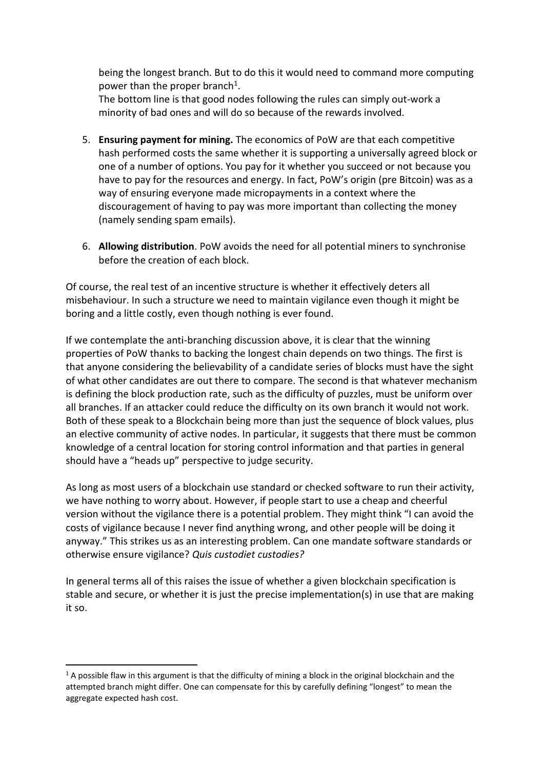being the longest branch. But to do this it would need to command more computing power than the proper branch<sup>1</sup>.

The bottom line is that good nodes following the rules can simply out-work a minority of bad ones and will do so because of the rewards involved.

- 5. **Ensuring payment for mining.** The economics of PoW are that each competitive hash performed costs the same whether it is supporting a universally agreed block or one of a number of options. You pay for it whether you succeed or not because you have to pay for the resources and energy. In fact, PoW's origin (pre Bitcoin) was as a way of ensuring everyone made micropayments in a context where the discouragement of having to pay was more important than collecting the money (namely sending spam emails).
- 6. **Allowing distribution**. PoW avoids the need for all potential miners to synchronise before the creation of each block.

Of course, the real test of an incentive structure is whether it effectively deters all misbehaviour. In such a structure we need to maintain vigilance even though it might be boring and a little costly, even though nothing is ever found.

If we contemplate the anti-branching discussion above, it is clear that the winning properties of PoW thanks to backing the longest chain depends on two things. The first is that anyone considering the believability of a candidate series of blocks must have the sight of what other candidates are out there to compare. The second is that whatever mechanism is defining the block production rate, such as the difficulty of puzzles, must be uniform over all branches. If an attacker could reduce the difficulty on its own branch it would not work. Both of these speak to a Blockchain being more than just the sequence of block values, plus an elective community of active nodes. In particular, it suggests that there must be common knowledge of a central location for storing control information and that parties in general should have a "heads up" perspective to judge security.

As long as most users of a blockchain use standard or checked software to run their activity, we have nothing to worry about. However, if people start to use a cheap and cheerful version without the vigilance there is a potential problem. They might think "I can avoid the costs of vigilance because I never find anything wrong, and other people will be doing it anyway." This strikes us as an interesting problem. Can one mandate software standards or otherwise ensure vigilance? *Quis custodiet custodies?* 

In general terms all of this raises the issue of whether a given blockchain specification is stable and secure, or whether it is just the precise implementation(s) in use that are making it so.

 $1$  A possible flaw in this argument is that the difficulty of mining a block in the original blockchain and the attempted branch might differ. One can compensate for this by carefully defining "longest" to mean the aggregate expected hash cost.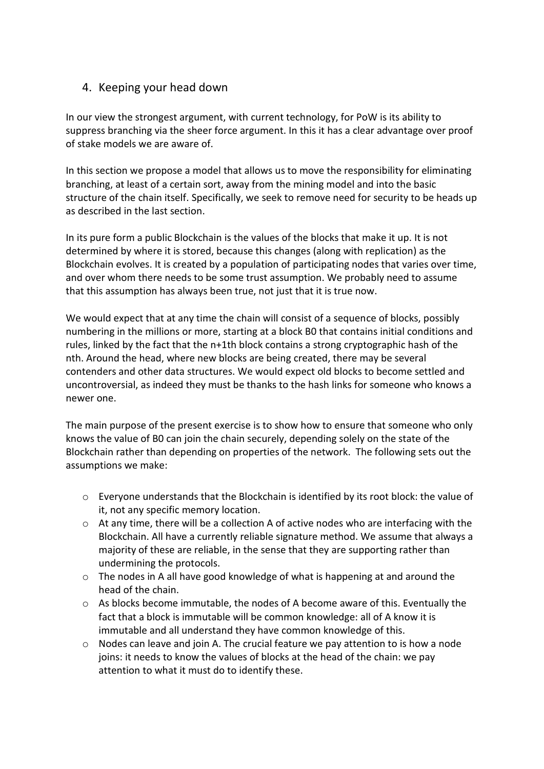## 4. Keeping your head down

In our view the strongest argument, with current technology, for PoW is its ability to suppress branching via the sheer force argument. In this it has a clear advantage over proof of stake models we are aware of.

In this section we propose a model that allows us to move the responsibility for eliminating branching, at least of a certain sort, away from the mining model and into the basic structure of the chain itself. Specifically, we seek to remove need for security to be heads up as described in the last section.

In its pure form a public Blockchain is the values of the blocks that make it up. It is not determined by where it is stored, because this changes (along with replication) as the Blockchain evolves. It is created by a population of participating nodes that varies over time, and over whom there needs to be some trust assumption. We probably need to assume that this assumption has always been true, not just that it is true now.

We would expect that at any time the chain will consist of a sequence of blocks, possibly numbering in the millions or more, starting at a block B0 that contains initial conditions and rules, linked by the fact that the n+1th block contains a strong cryptographic hash of the nth. Around the head, where new blocks are being created, there may be several contenders and other data structures. We would expect old blocks to become settled and uncontroversial, as indeed they must be thanks to the hash links for someone who knows a newer one.

The main purpose of the present exercise is to show how to ensure that someone who only knows the value of B0 can join the chain securely, depending solely on the state of the Blockchain rather than depending on properties of the network. The following sets out the assumptions we make:

- $\circ$  Everyone understands that the Blockchain is identified by its root block: the value of it, not any specific memory location.
- $\circ$  At any time, there will be a collection A of active nodes who are interfacing with the Blockchain. All have a currently reliable signature method. We assume that always a majority of these are reliable, in the sense that they are supporting rather than undermining the protocols.
- o The nodes in A all have good knowledge of what is happening at and around the head of the chain.
- o As blocks become immutable, the nodes of A become aware of this. Eventually the fact that a block is immutable will be common knowledge: all of A know it is immutable and all understand they have common knowledge of this.
- o Nodes can leave and join A. The crucial feature we pay attention to is how a node joins: it needs to know the values of blocks at the head of the chain: we pay attention to what it must do to identify these.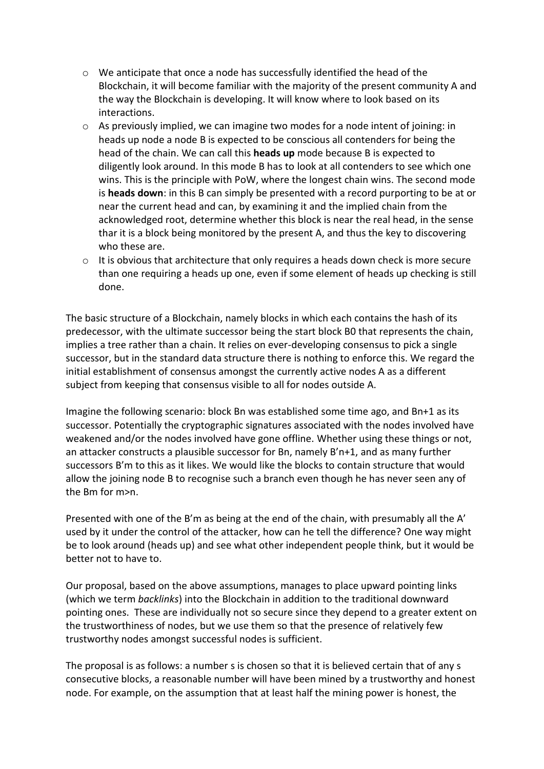- $\circ$  We anticipate that once a node has successfully identified the head of the Blockchain, it will become familiar with the majority of the present community A and the way the Blockchain is developing. It will know where to look based on its interactions.
- o As previously implied, we can imagine two modes for a node intent of joining: in heads up node a node B is expected to be conscious all contenders for being the head of the chain. We can call this **heads up** mode because B is expected to diligently look around. In this mode B has to look at all contenders to see which one wins. This is the principle with PoW, where the longest chain wins. The second mode is **heads down**: in this B can simply be presented with a record purporting to be at or near the current head and can, by examining it and the implied chain from the acknowledged root, determine whether this block is near the real head, in the sense thar it is a block being monitored by the present A, and thus the key to discovering who these are.
- o It is obvious that architecture that only requires a heads down check is more secure than one requiring a heads up one, even if some element of heads up checking is still done.

The basic structure of a Blockchain, namely blocks in which each contains the hash of its predecessor, with the ultimate successor being the start block B0 that represents the chain, implies a tree rather than a chain. It relies on ever-developing consensus to pick a single successor, but in the standard data structure there is nothing to enforce this. We regard the initial establishment of consensus amongst the currently active nodes A as a different subject from keeping that consensus visible to all for nodes outside A.

Imagine the following scenario: block Bn was established some time ago, and Bn+1 as its successor. Potentially the cryptographic signatures associated with the nodes involved have weakened and/or the nodes involved have gone offline. Whether using these things or not, an attacker constructs a plausible successor for Bn, namely B'n+1, and as many further successors B'm to this as it likes. We would like the blocks to contain structure that would allow the joining node B to recognise such a branch even though he has never seen any of the Bm for m>n.

Presented with one of the B'm as being at the end of the chain, with presumably all the A' used by it under the control of the attacker, how can he tell the difference? One way might be to look around (heads up) and see what other independent people think, but it would be better not to have to.

Our proposal, based on the above assumptions, manages to place upward pointing links (which we term *backlinks*) into the Blockchain in addition to the traditional downward pointing ones. These are individually not so secure since they depend to a greater extent on the trustworthiness of nodes, but we use them so that the presence of relatively few trustworthy nodes amongst successful nodes is sufficient.

The proposal is as follows: a number s is chosen so that it is believed certain that of any s consecutive blocks, a reasonable number will have been mined by a trustworthy and honest node. For example, on the assumption that at least half the mining power is honest, the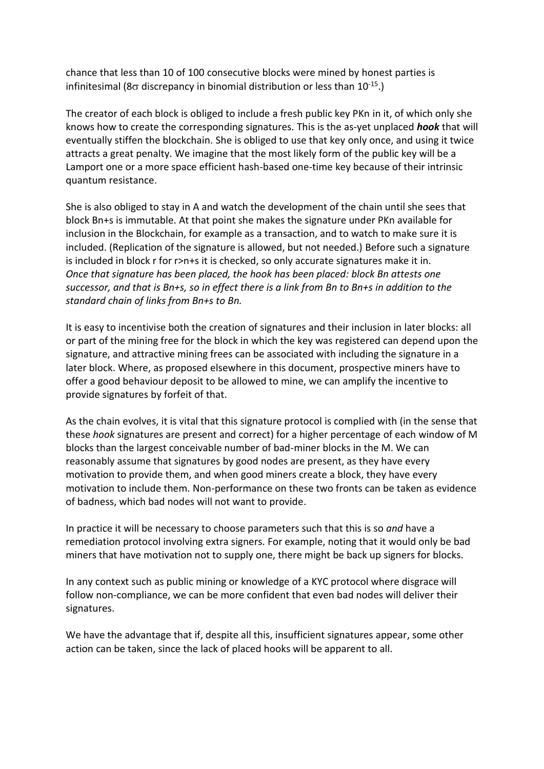chance that less than 10 of 100 consecutive blocks were mined by honest parties is infinitesimal (8 $\sigma$  discrepancy in binomial distribution or less than 10<sup>-15</sup>.)

The creator of each block is obliged to include a fresh public key PKn in it, of which only she knows how to create the corresponding signatures. This is the as-yet unplaced *hook* that will eventually stiffen the blockchain. She is obliged to use that key only once, and using it twice attracts a great penalty. We imagine that the most likely form of the public key will be a Lamport one or a more space efficient hash-based one-time key because of their intrinsic quantum resistance.

She is also obliged to stay in A and watch the development of the chain until she sees that block Bn+s is immutable. At that point she makes the signature under PKn available for inclusion in the Blockchain, for example as a transaction, and to watch to make sure it is included. (Replication of the signature is allowed, but not needed.) Before such a signature is included in block r for r>n+s it is checked, so only accurate signatures make it in. *Once that signature has been placed, the hook has been placed: block Bn attests one successor, and that is Bn+s, so in effect there is a link from Bn to Bn+s in addition to the standard chain of links from Bn+s to Bn.*

It is easy to incentivise both the creation of signatures and their inclusion in later blocks: all or part of the mining free for the block in which the key was registered can depend upon the signature, and attractive mining frees can be associated with including the signature in a later block. Where, as proposed elsewhere in this document, prospective miners have to offer a good behaviour deposit to be allowed to mine, we can amplify the incentive to provide signatures by forfeit of that.

As the chain evolves, it is vital that this signature protocol is complied with (in the sense that these *hook* signatures are present and correct) for a higher percentage of each window of M blocks than the largest conceivable number of bad-miner blocks in the M. We can reasonably assume that signatures by good nodes are present, as they have every motivation to provide them, and when good miners create a block, they have every motivation to include them. Non-performance on these two fronts can be taken as evidence of badness, which bad nodes will not want to provide.

In practice it will be necessary to choose parameters such that this is so *and* have a remediation protocol involving extra signers. For example, noting that it would only be bad miners that have motivation not to supply one, there might be back up signers for blocks.

In any context such as public mining or knowledge of a KYC protocol where disgrace will follow non-compliance, we can be more confident that even bad nodes will deliver their signatures.

We have the advantage that if, despite all this, insufficient signatures appear, some other action can be taken, since the lack of placed hooks will be apparent to all.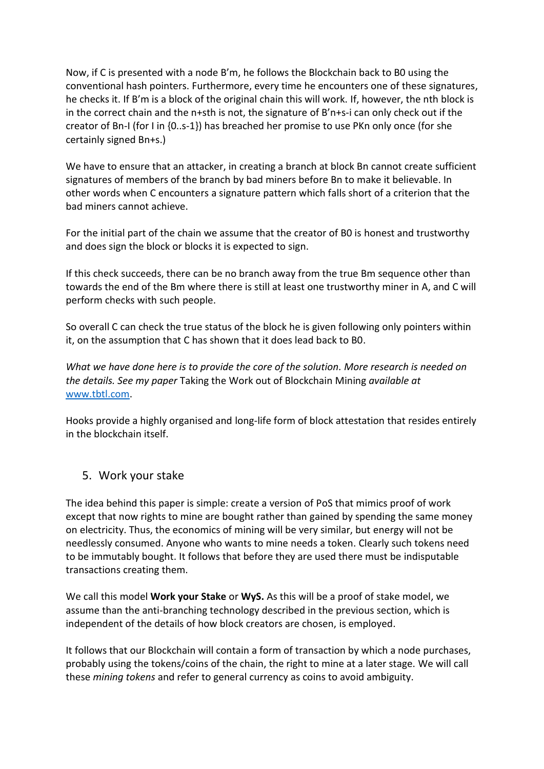Now, if C is presented with a node B'm, he follows the Blockchain back to B0 using the conventional hash pointers. Furthermore, every time he encounters one of these signatures, he checks it. If B'm is a block of the original chain this will work. If, however, the nth block is in the correct chain and the n+sth is not, the signature of B'n+s-i can only check out if the creator of Bn-I (for I in {0..s-1}) has breached her promise to use PKn only once (for she certainly signed Bn+s.)

We have to ensure that an attacker, in creating a branch at block Bn cannot create sufficient signatures of members of the branch by bad miners before Bn to make it believable. In other words when C encounters a signature pattern which falls short of a criterion that the bad miners cannot achieve.

For the initial part of the chain we assume that the creator of B0 is honest and trustworthy and does sign the block or blocks it is expected to sign.

If this check succeeds, there can be no branch away from the true Bm sequence other than towards the end of the Bm where there is still at least one trustworthy miner in A, and C will perform checks with such people.

So overall C can check the true status of the block he is given following only pointers within it, on the assumption that C has shown that it does lead back to B0.

*What we have done here is to provide the core of the solution. More research is needed on the details. See my paper* Taking the Work out of Blockchain Mining *available at*  [www.tbtl.com.](http://www.tbtl.com/)

Hooks provide a highly organised and long-life form of block attestation that resides entirely in the blockchain itself.

#### 5. Work your stake

The idea behind this paper is simple: create a version of PoS that mimics proof of work except that now rights to mine are bought rather than gained by spending the same money on electricity. Thus, the economics of mining will be very similar, but energy will not be needlessly consumed. Anyone who wants to mine needs a token. Clearly such tokens need to be immutably bought. It follows that before they are used there must be indisputable transactions creating them.

We call this model **Work your Stake** or **WyS.** As this will be a proof of stake model, we assume than the anti-branching technology described in the previous section, which is independent of the details of how block creators are chosen, is employed.

It follows that our Blockchain will contain a form of transaction by which a node purchases, probably using the tokens/coins of the chain, the right to mine at a later stage. We will call these *mining tokens* and refer to general currency as coins to avoid ambiguity.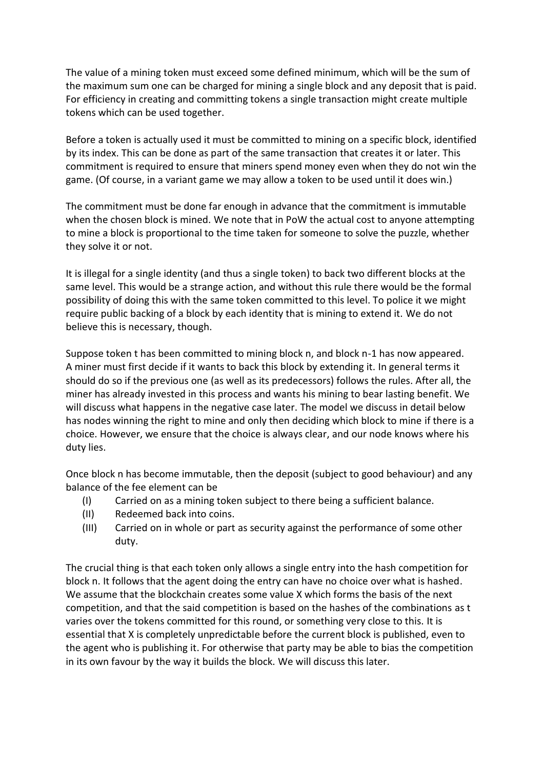The value of a mining token must exceed some defined minimum, which will be the sum of the maximum sum one can be charged for mining a single block and any deposit that is paid. For efficiency in creating and committing tokens a single transaction might create multiple tokens which can be used together.

Before a token is actually used it must be committed to mining on a specific block, identified by its index. This can be done as part of the same transaction that creates it or later. This commitment is required to ensure that miners spend money even when they do not win the game. (Of course, in a variant game we may allow a token to be used until it does win.)

The commitment must be done far enough in advance that the commitment is immutable when the chosen block is mined. We note that in PoW the actual cost to anyone attempting to mine a block is proportional to the time taken for someone to solve the puzzle, whether they solve it or not.

It is illegal for a single identity (and thus a single token) to back two different blocks at the same level. This would be a strange action, and without this rule there would be the formal possibility of doing this with the same token committed to this level. To police it we might require public backing of a block by each identity that is mining to extend it. We do not believe this is necessary, though.

Suppose token t has been committed to mining block n, and block n-1 has now appeared. A miner must first decide if it wants to back this block by extending it. In general terms it should do so if the previous one (as well as its predecessors) follows the rules. After all, the miner has already invested in this process and wants his mining to bear lasting benefit. We will discuss what happens in the negative case later. The model we discuss in detail below has nodes winning the right to mine and only then deciding which block to mine if there is a choice. However, we ensure that the choice is always clear, and our node knows where his duty lies.

Once block n has become immutable, then the deposit (subject to good behaviour) and any balance of the fee element can be

- (I) Carried on as a mining token subject to there being a sufficient balance.
- (II) Redeemed back into coins.
- (III) Carried on in whole or part as security against the performance of some other duty.

The crucial thing is that each token only allows a single entry into the hash competition for block n. It follows that the agent doing the entry can have no choice over what is hashed. We assume that the blockchain creates some value X which forms the basis of the next competition, and that the said competition is based on the hashes of the combinations as t varies over the tokens committed for this round, or something very close to this. It is essential that X is completely unpredictable before the current block is published, even to the agent who is publishing it. For otherwise that party may be able to bias the competition in its own favour by the way it builds the block. We will discuss this later.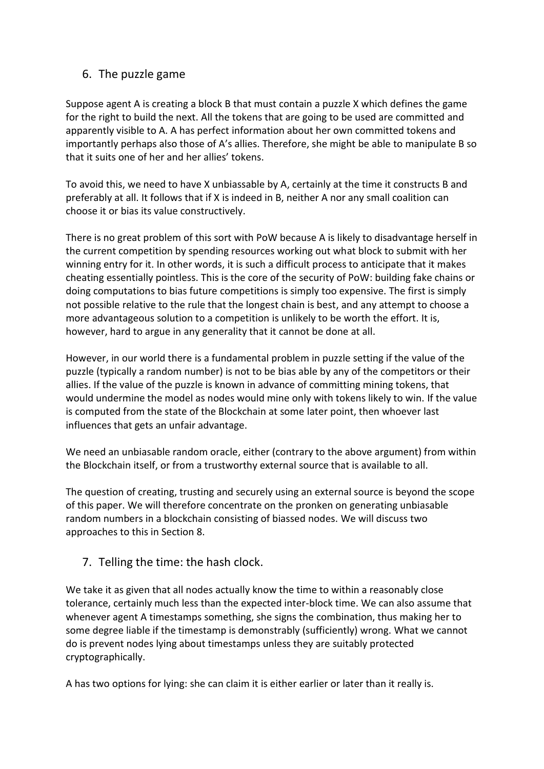## 6. The puzzle game

Suppose agent A is creating a block B that must contain a puzzle X which defines the game for the right to build the next. All the tokens that are going to be used are committed and apparently visible to A. A has perfect information about her own committed tokens and importantly perhaps also those of A's allies. Therefore, she might be able to manipulate B so that it suits one of her and her allies' tokens.

To avoid this, we need to have X unbiassable by A, certainly at the time it constructs B and preferably at all. It follows that if X is indeed in B, neither A nor any small coalition can choose it or bias its value constructively.

There is no great problem of this sort with PoW because A is likely to disadvantage herself in the current competition by spending resources working out what block to submit with her winning entry for it. In other words, it is such a difficult process to anticipate that it makes cheating essentially pointless. This is the core of the security of PoW: building fake chains or doing computations to bias future competitions is simply too expensive. The first is simply not possible relative to the rule that the longest chain is best, and any attempt to choose a more advantageous solution to a competition is unlikely to be worth the effort. It is, however, hard to argue in any generality that it cannot be done at all.

However, in our world there is a fundamental problem in puzzle setting if the value of the puzzle (typically a random number) is not to be bias able by any of the competitors or their allies. If the value of the puzzle is known in advance of committing mining tokens, that would undermine the model as nodes would mine only with tokens likely to win. If the value is computed from the state of the Blockchain at some later point, then whoever last influences that gets an unfair advantage.

We need an unbiasable random oracle, either (contrary to the above argument) from within the Blockchain itself, or from a trustworthy external source that is available to all.

The question of creating, trusting and securely using an external source is beyond the scope of this paper. We will therefore concentrate on the pronken on generating unbiasable random numbers in a blockchain consisting of biassed nodes. We will discuss two approaches to this in Section 8.

## 7. Telling the time: the hash clock.

We take it as given that all nodes actually know the time to within a reasonably close tolerance, certainly much less than the expected inter-block time. We can also assume that whenever agent A timestamps something, she signs the combination, thus making her to some degree liable if the timestamp is demonstrably (sufficiently) wrong. What we cannot do is prevent nodes lying about timestamps unless they are suitably protected cryptographically.

A has two options for lying: she can claim it is either earlier or later than it really is.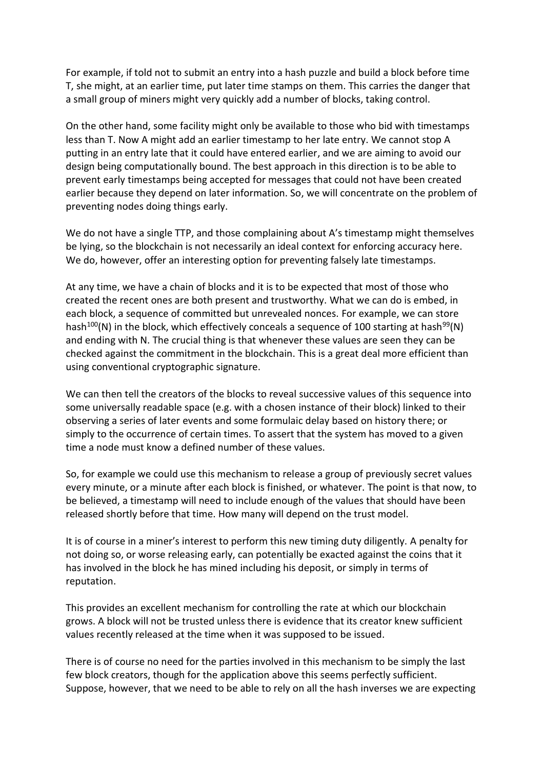For example, if told not to submit an entry into a hash puzzle and build a block before time T, she might, at an earlier time, put later time stamps on them. This carries the danger that a small group of miners might very quickly add a number of blocks, taking control.

On the other hand, some facility might only be available to those who bid with timestamps less than T. Now A might add an earlier timestamp to her late entry. We cannot stop A putting in an entry late that it could have entered earlier, and we are aiming to avoid our design being computationally bound. The best approach in this direction is to be able to prevent early timestamps being accepted for messages that could not have been created earlier because they depend on later information. So, we will concentrate on the problem of preventing nodes doing things early.

We do not have a single TTP, and those complaining about A's timestamp might themselves be lying, so the blockchain is not necessarily an ideal context for enforcing accuracy here. We do, however, offer an interesting option for preventing falsely late timestamps.

At any time, we have a chain of blocks and it is to be expected that most of those who created the recent ones are both present and trustworthy. What we can do is embed, in each block, a sequence of committed but unrevealed nonces. For example, we can store hash<sup>100</sup>(N) in the block, which effectively conceals a sequence of 100 starting at hash<sup>99</sup>(N) and ending with N. The crucial thing is that whenever these values are seen they can be checked against the commitment in the blockchain. This is a great deal more efficient than using conventional cryptographic signature.

We can then tell the creators of the blocks to reveal successive values of this sequence into some universally readable space (e.g. with a chosen instance of their block) linked to their observing a series of later events and some formulaic delay based on history there; or simply to the occurrence of certain times. To assert that the system has moved to a given time a node must know a defined number of these values.

So, for example we could use this mechanism to release a group of previously secret values every minute, or a minute after each block is finished, or whatever. The point is that now, to be believed, a timestamp will need to include enough of the values that should have been released shortly before that time. How many will depend on the trust model.

It is of course in a miner's interest to perform this new timing duty diligently. A penalty for not doing so, or worse releasing early, can potentially be exacted against the coins that it has involved in the block he has mined including his deposit, or simply in terms of reputation.

This provides an excellent mechanism for controlling the rate at which our blockchain grows. A block will not be trusted unless there is evidence that its creator knew sufficient values recently released at the time when it was supposed to be issued.

There is of course no need for the parties involved in this mechanism to be simply the last few block creators, though for the application above this seems perfectly sufficient. Suppose, however, that we need to be able to rely on all the hash inverses we are expecting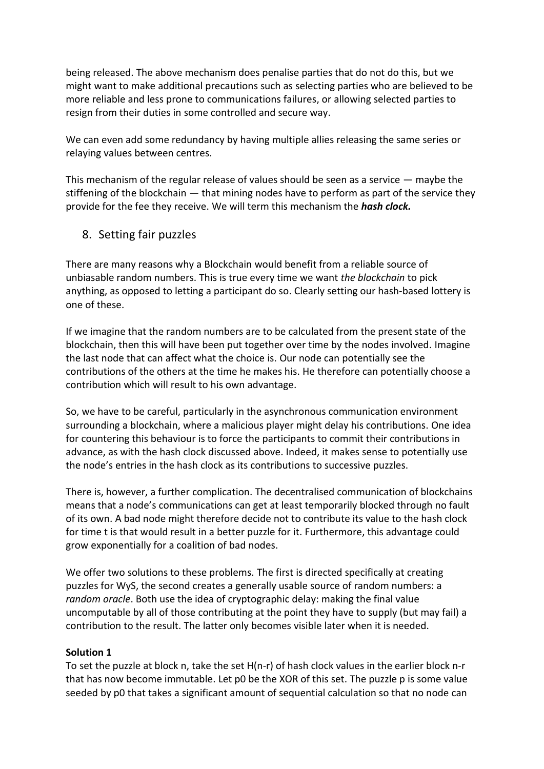being released. The above mechanism does penalise parties that do not do this, but we might want to make additional precautions such as selecting parties who are believed to be more reliable and less prone to communications failures, or allowing selected parties to resign from their duties in some controlled and secure way.

We can even add some redundancy by having multiple allies releasing the same series or relaying values between centres.

This mechanism of the regular release of values should be seen as a service — maybe the stiffening of the blockchain — that mining nodes have to perform as part of the service they provide for the fee they receive. We will term this mechanism the *hash clock.*

#### 8. Setting fair puzzles

There are many reasons why a Blockchain would benefit from a reliable source of unbiasable random numbers. This is true every time we want *the blockchain* to pick anything, as opposed to letting a participant do so. Clearly setting our hash-based lottery is one of these.

If we imagine that the random numbers are to be calculated from the present state of the blockchain, then this will have been put together over time by the nodes involved. Imagine the last node that can affect what the choice is. Our node can potentially see the contributions of the others at the time he makes his. He therefore can potentially choose a contribution which will result to his own advantage.

So, we have to be careful, particularly in the asynchronous communication environment surrounding a blockchain, where a malicious player might delay his contributions. One idea for countering this behaviour is to force the participants to commit their contributions in advance, as with the hash clock discussed above. Indeed, it makes sense to potentially use the node's entries in the hash clock as its contributions to successive puzzles.

There is, however, a further complication. The decentralised communication of blockchains means that a node's communications can get at least temporarily blocked through no fault of its own. A bad node might therefore decide not to contribute its value to the hash clock for time t is that would result in a better puzzle for it. Furthermore, this advantage could grow exponentially for a coalition of bad nodes.

We offer two solutions to these problems. The first is directed specifically at creating puzzles for WyS, the second creates a generally usable source of random numbers: a *random oracle*. Both use the idea of cryptographic delay: making the final value uncomputable by all of those contributing at the point they have to supply (but may fail) a contribution to the result. The latter only becomes visible later when it is needed.

#### **Solution 1**

To set the puzzle at block n, take the set H(n-r) of hash clock values in the earlier block n-r that has now become immutable. Let p0 be the XOR of this set. The puzzle p is some value seeded by p0 that takes a significant amount of sequential calculation so that no node can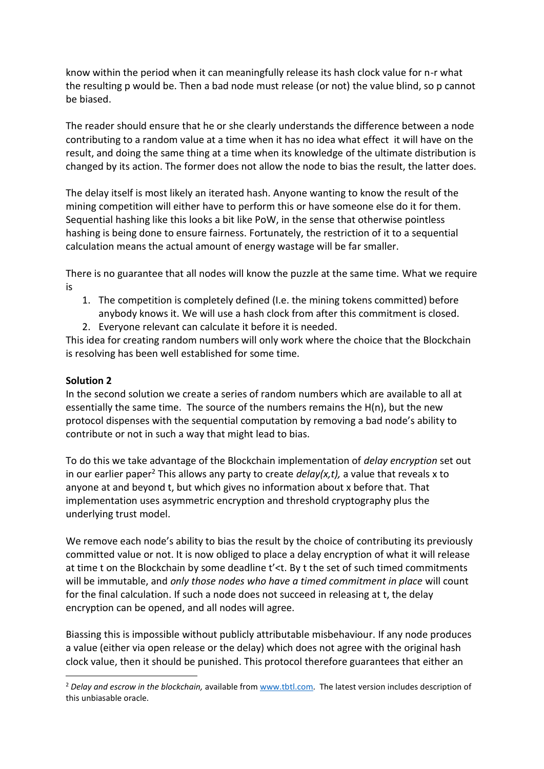know within the period when it can meaningfully release its hash clock value for n-r what the resulting p would be. Then a bad node must release (or not) the value blind, so p cannot be biased.

The reader should ensure that he or she clearly understands the difference between a node contributing to a random value at a time when it has no idea what effect it will have on the result, and doing the same thing at a time when its knowledge of the ultimate distribution is changed by its action. The former does not allow the node to bias the result, the latter does.

The delay itself is most likely an iterated hash. Anyone wanting to know the result of the mining competition will either have to perform this or have someone else do it for them. Sequential hashing like this looks a bit like PoW, in the sense that otherwise pointless hashing is being done to ensure fairness. Fortunately, the restriction of it to a sequential calculation means the actual amount of energy wastage will be far smaller.

There is no guarantee that all nodes will know the puzzle at the same time. What we require is

- 1. The competition is completely defined (I.e. the mining tokens committed) before anybody knows it. We will use a hash clock from after this commitment is closed.
- 2. Everyone relevant can calculate it before it is needed.

This idea for creating random numbers will only work where the choice that the Blockchain is resolving has been well established for some time.

#### **Solution 2**

In the second solution we create a series of random numbers which are available to all at essentially the same time. The source of the numbers remains the H(n), but the new protocol dispenses with the sequential computation by removing a bad node's ability to contribute or not in such a way that might lead to bias.

To do this we take advantage of the Blockchain implementation of *delay encryption* set out in our earlier paper<sup>2</sup> This allows any party to create  $delay(x,t)$ , a value that reveals x to anyone at and beyond t, but which gives no information about x before that. That implementation uses asymmetric encryption and threshold cryptography plus the underlying trust model.

We remove each node's ability to bias the result by the choice of contributing its previously committed value or not. It is now obliged to place a delay encryption of what it will release at time t on the Blockchain by some deadline t'<t. By t the set of such timed commitments will be immutable, and *only those nodes who have a timed commitment in place* will count for the final calculation. If such a node does not succeed in releasing at t, the delay encryption can be opened, and all nodes will agree.

Biassing this is impossible without publicly attributable misbehaviour. If any node produces a value (either via open release or the delay) which does not agree with the original hash clock value, then it should be punished. This protocol therefore guarantees that either an

<sup>2</sup> *Delay and escrow in the blockchain,* available fro[m www.tbtl.com.](http://www.tbtl.com/) The latest version includes description of this unbiasable oracle.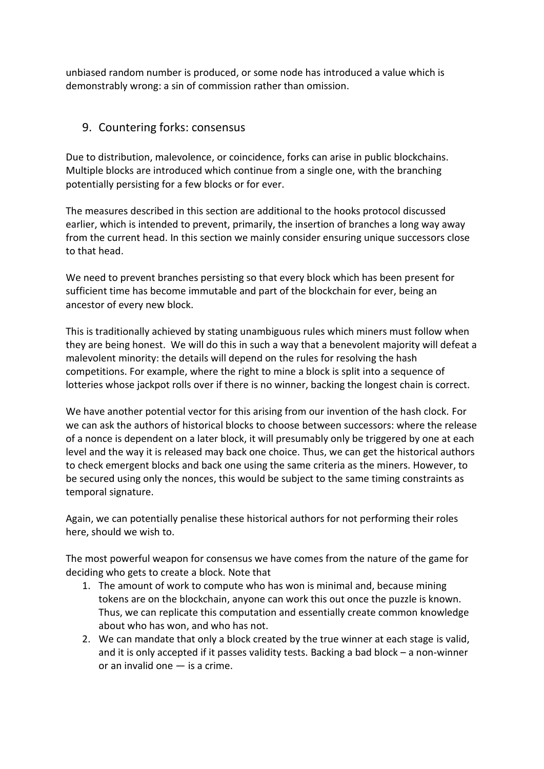unbiased random number is produced, or some node has introduced a value which is demonstrably wrong: a sin of commission rather than omission.

## 9. Countering forks: consensus

Due to distribution, malevolence, or coincidence, forks can arise in public blockchains. Multiple blocks are introduced which continue from a single one, with the branching potentially persisting for a few blocks or for ever.

The measures described in this section are additional to the hooks protocol discussed earlier, which is intended to prevent, primarily, the insertion of branches a long way away from the current head. In this section we mainly consider ensuring unique successors close to that head.

We need to prevent branches persisting so that every block which has been present for sufficient time has become immutable and part of the blockchain for ever, being an ancestor of every new block.

This is traditionally achieved by stating unambiguous rules which miners must follow when they are being honest. We will do this in such a way that a benevolent majority will defeat a malevolent minority: the details will depend on the rules for resolving the hash competitions. For example, where the right to mine a block is split into a sequence of lotteries whose jackpot rolls over if there is no winner, backing the longest chain is correct.

We have another potential vector for this arising from our invention of the hash clock. For we can ask the authors of historical blocks to choose between successors: where the release of a nonce is dependent on a later block, it will presumably only be triggered by one at each level and the way it is released may back one choice. Thus, we can get the historical authors to check emergent blocks and back one using the same criteria as the miners. However, to be secured using only the nonces, this would be subject to the same timing constraints as temporal signature.

Again, we can potentially penalise these historical authors for not performing their roles here, should we wish to.

The most powerful weapon for consensus we have comes from the nature of the game for deciding who gets to create a block. Note that

- 1. The amount of work to compute who has won is minimal and, because mining tokens are on the blockchain, anyone can work this out once the puzzle is known. Thus, we can replicate this computation and essentially create common knowledge about who has won, and who has not.
- 2. We can mandate that only a block created by the true winner at each stage is valid, and it is only accepted if it passes validity tests. Backing a bad block – a non-winner or an invalid one — is a crime.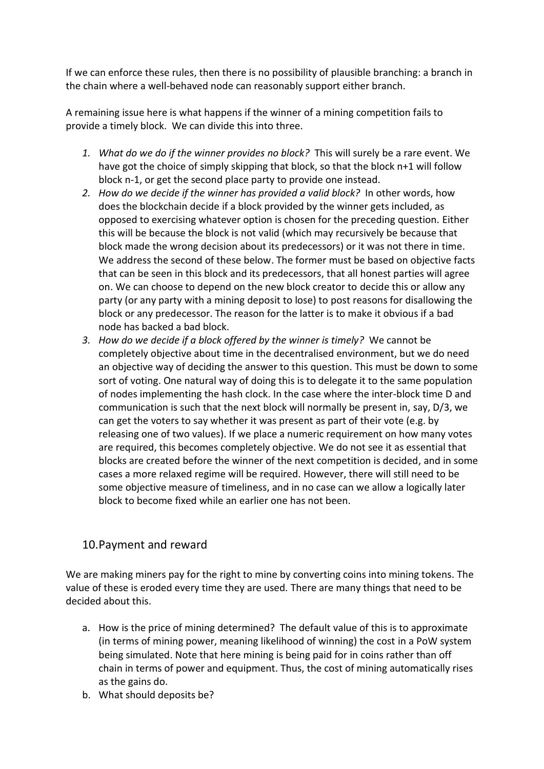If we can enforce these rules, then there is no possibility of plausible branching: a branch in the chain where a well-behaved node can reasonably support either branch.

A remaining issue here is what happens if the winner of a mining competition fails to provide a timely block. We can divide this into three.

- *1. What do we do if the winner provides no block?* This will surely be a rare event. We have got the choice of simply skipping that block, so that the block n+1 will follow block n-1, or get the second place party to provide one instead.
- *2. How do we decide if the winner has provided a valid block?* In other words, how does the blockchain decide if a block provided by the winner gets included, as opposed to exercising whatever option is chosen for the preceding question. Either this will be because the block is not valid (which may recursively be because that block made the wrong decision about its predecessors) or it was not there in time. We address the second of these below. The former must be based on objective facts that can be seen in this block and its predecessors, that all honest parties will agree on. We can choose to depend on the new block creator to decide this or allow any party (or any party with a mining deposit to lose) to post reasons for disallowing the block or any predecessor. The reason for the latter is to make it obvious if a bad node has backed a bad block.
- *3. How do we decide if a block offered by the winner is timely?* We cannot be completely objective about time in the decentralised environment, but we do need an objective way of deciding the answer to this question. This must be down to some sort of voting. One natural way of doing this is to delegate it to the same population of nodes implementing the hash clock. In the case where the inter-block time D and communication is such that the next block will normally be present in, say, D/3, we can get the voters to say whether it was present as part of their vote (e.g. by releasing one of two values). If we place a numeric requirement on how many votes are required, this becomes completely objective. We do not see it as essential that blocks are created before the winner of the next competition is decided, and in some cases a more relaxed regime will be required. However, there will still need to be some objective measure of timeliness, and in no case can we allow a logically later block to become fixed while an earlier one has not been.

## 10.Payment and reward

We are making miners pay for the right to mine by converting coins into mining tokens. The value of these is eroded every time they are used. There are many things that need to be decided about this.

- a. How is the price of mining determined? The default value of this is to approximate (in terms of mining power, meaning likelihood of winning) the cost in a PoW system being simulated. Note that here mining is being paid for in coins rather than off chain in terms of power and equipment. Thus, the cost of mining automatically rises as the gains do.
- b. What should deposits be?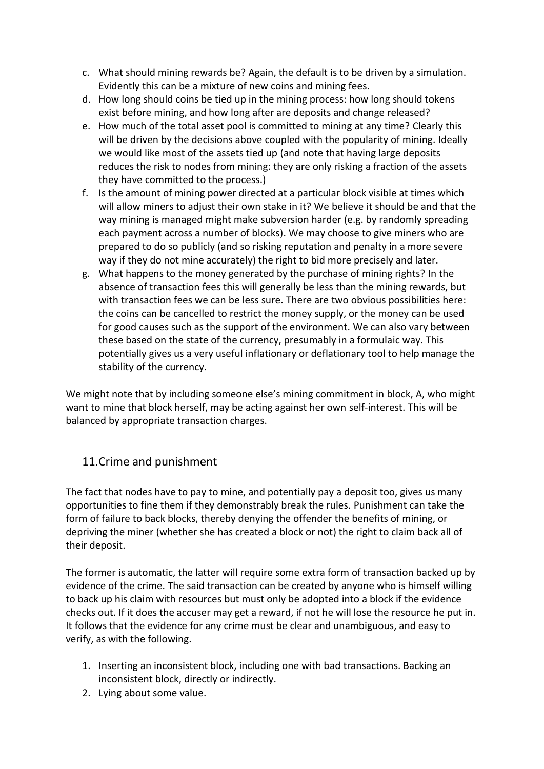- c. What should mining rewards be? Again, the default is to be driven by a simulation. Evidently this can be a mixture of new coins and mining fees.
- d. How long should coins be tied up in the mining process: how long should tokens exist before mining, and how long after are deposits and change released?
- e. How much of the total asset pool is committed to mining at any time? Clearly this will be driven by the decisions above coupled with the popularity of mining. Ideally we would like most of the assets tied up (and note that having large deposits reduces the risk to nodes from mining: they are only risking a fraction of the assets they have committed to the process.)
- f. Is the amount of mining power directed at a particular block visible at times which will allow miners to adjust their own stake in it? We believe it should be and that the way mining is managed might make subversion harder (e.g. by randomly spreading each payment across a number of blocks). We may choose to give miners who are prepared to do so publicly (and so risking reputation and penalty in a more severe way if they do not mine accurately) the right to bid more precisely and later.
- g. What happens to the money generated by the purchase of mining rights? In the absence of transaction fees this will generally be less than the mining rewards, but with transaction fees we can be less sure. There are two obvious possibilities here: the coins can be cancelled to restrict the money supply, or the money can be used for good causes such as the support of the environment. We can also vary between these based on the state of the currency, presumably in a formulaic way. This potentially gives us a very useful inflationary or deflationary tool to help manage the stability of the currency.

We might note that by including someone else's mining commitment in block, A, who might want to mine that block herself, may be acting against her own self-interest. This will be balanced by appropriate transaction charges.

#### 11.Crime and punishment

The fact that nodes have to pay to mine, and potentially pay a deposit too, gives us many opportunities to fine them if they demonstrably break the rules. Punishment can take the form of failure to back blocks, thereby denying the offender the benefits of mining, or depriving the miner (whether she has created a block or not) the right to claim back all of their deposit.

The former is automatic, the latter will require some extra form of transaction backed up by evidence of the crime. The said transaction can be created by anyone who is himself willing to back up his claim with resources but must only be adopted into a block if the evidence checks out. If it does the accuser may get a reward, if not he will lose the resource he put in. It follows that the evidence for any crime must be clear and unambiguous, and easy to verify, as with the following.

- 1. Inserting an inconsistent block, including one with bad transactions. Backing an inconsistent block, directly or indirectly.
- 2. Lying about some value.